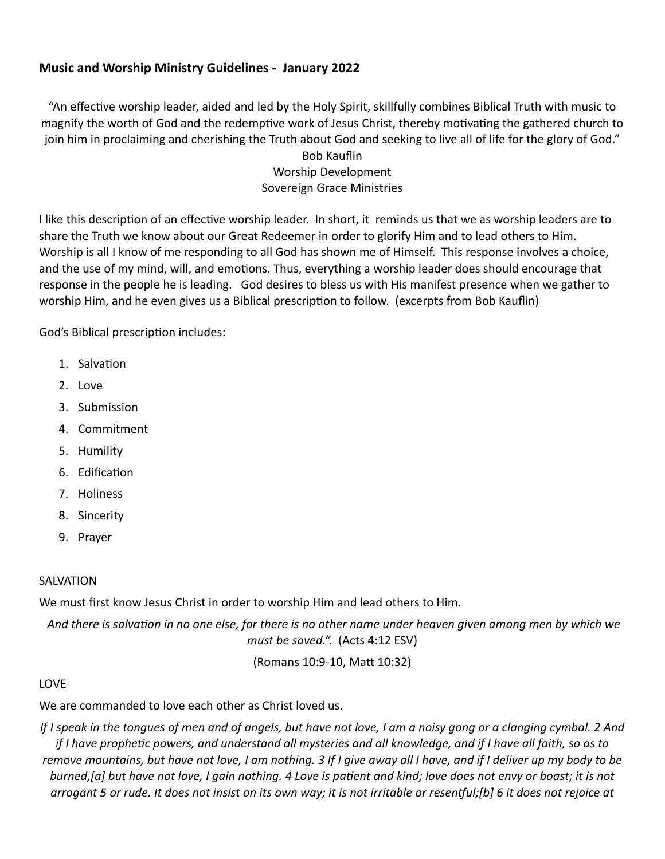## **Music and Worship Ministry Guidelines - January 2022**

"An effective worship leader, aided and led by the Holy Spirit, skillfully combines Biblical Truth with music to magnify the worth of God and the redemptive work of Jesus Christ, thereby motivating the gathered church to join him in proclaiming and cherishing the Truth about God and seeking to live all of life for the glory of God."

Bob Kauflin Worship Development Sovereign Grace Ministries

I like this description of an effective worship leader. In short, it reminds us that we as worship leaders are to share the Truth we know about our Great Redeemer in order to glorify Him and to lead others to Him. Worship is all I know of me responding to all God has shown me of Himself. This response involves a choice, and the use of my mind, will, and emotions. Thus, everything a worship leader does should encourage that response in the people he is leading. God desires to bless us with His manifest presence when we gather to worship Him, and he even gives us a Biblical prescription to follow. (excerpts from Bob Kauflin)

God's Biblical prescription includes:

- 1. Salvation
- 2. Love
- 3. Submission
- 4. Commitment
- 5. Humility
- 6. Edification
- 7. Holiness
- 8. Sincerity
- 9. Prayer

### SALVATION

We must first know Jesus Christ in order to worship Him and lead others to Him.

 *And there is salvation in no one else, for there is no other name under heaven given among men by which we must be saved.".* (Acts 4:12 ESV)

(Romans 10:9-10, Matt 10:32)

### LOVE

We are commanded to love each other as Christ loved us.

*If I speak in the tongues of men and of angels, but have not love, I am a noisy gong or a clanging cymbal. 2 And if I have prophetic powers, and understand all mysteries and all knowledge, and if I have all faith, so as to remove mountains, but have not love, I am nothing. 3 If I give away all I have, and if I deliver up my body to be burned,[\[a](https://www.biblegateway.com/passage/?search=1+Corinthians+13%3A1-7&version=ESV#fen-ESV-28652a)] but have not love, I gain nothing. 4 Love is patient and kind; love does not envy or boast; it is not arrogant 5 or rude. It does not insist on its own way; it is not irritable or resentful;[[b](https://www.biblegateway.com/passage/?search=1+Corinthians+13%3A1-7&version=ESV#fen-ESV-28654b)] 6 it does not rejoice at*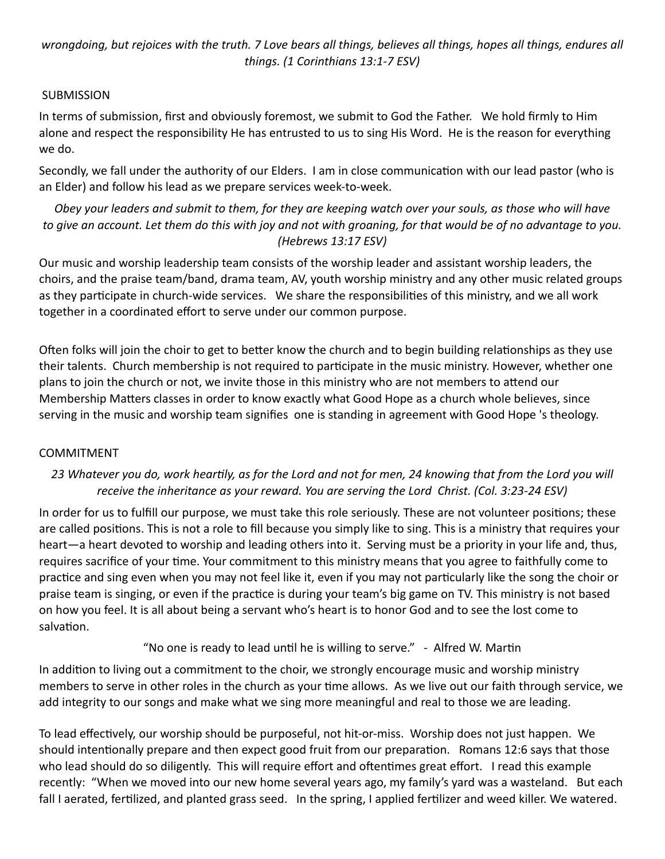*wrongdoing, but rejoices with the truth. 7 Love bears all things, believes all things, hopes all things, endures all things. (1 Corinthians 13:1-7 ESV)*

## **SUBMISSION**

In terms of submission, first and obviously foremost, we submit to God the Father. We hold firmly to Him alone and respect the responsibility He has entrusted to us to sing His Word. He is the reason for everything we do.

Secondly, we fall under the authority of our Elders. I am in close communication with our lead pastor (who is an Elder) and follow his lead as we prepare services week-to-week.

*Obey your leaders and submit to them, for they are keeping watch over your souls, as those who will have*  to give an account. Let them do this with joy and not with groaning, for that would be of no advantage to you. *(Hebrews 13:17 ESV)*

Our music and worship leadership team consists of the worship leader and assistant worship leaders, the choirs, and the praise team/band, drama team, AV, youth worship ministry and any other music related groups as they participate in church-wide services. We share the responsibilities of this ministry, and we all work together in a coordinated effort to serve under our common purpose.

Often folks will join the choir to get to better know the church and to begin building relationships as they use their talents. Church membership is not required to participate in the music ministry. However, whether one plans to join the church or not, we invite those in this ministry who are not members to attend our Membership Matters classes in order to know exactly what Good Hope as a church whole believes, since serving in the music and worship team signifies one is standing in agreement with Good Hope 's theology.

### COMMITMENT

# *23 Whatever you do, work heartily, as for the Lord and not for men, 24 knowing that from the Lord you will receive the inheritance as your reward. You are serving the Lord Christ. (Col. 3:23-24 ESV)*

In order for us to fulfill our purpose, we must take this role seriously. These are not volunteer positions; these are called positions. This is not a role to fill because you simply like to sing. This is a ministry that requires your heart—a heart devoted to worship and leading others into it. Serving must be a priority in your life and, thus, requires sacrifice of your time. Your commitment to this ministry means that you agree to faithfully come to practice and sing even when you may not feel like it, even if you may not particularly like the song the choir or praise team is singing, or even if the practice is during your team's big game on TV. This ministry is not based on how you feel. It is all about being a servant who's heart is to honor God and to see the lost come to salvation.

"No one is ready to lead until he is willing to serve." - Alfred W. Martin

In addition to living out a commitment to the choir, we strongly encourage music and worship ministry members to serve in other roles in the church as your time allows. As we live out our faith through service, we add integrity to our songs and make what we sing more meaningful and real to those we are leading.

To lead effectively, our worship should be purposeful, not hit-or-miss. Worship does not just happen. We should intentionally prepare and then expect good fruit from our preparation. Romans 12:6 says that those who lead should do so diligently. This will require effort and oftentimes great effort. I read this example recently: "When we moved into our new home several years ago, my family's yard was a wasteland. But each fall I aerated, fertilized, and planted grass seed. In the spring, I applied fertilizer and weed killer. We watered.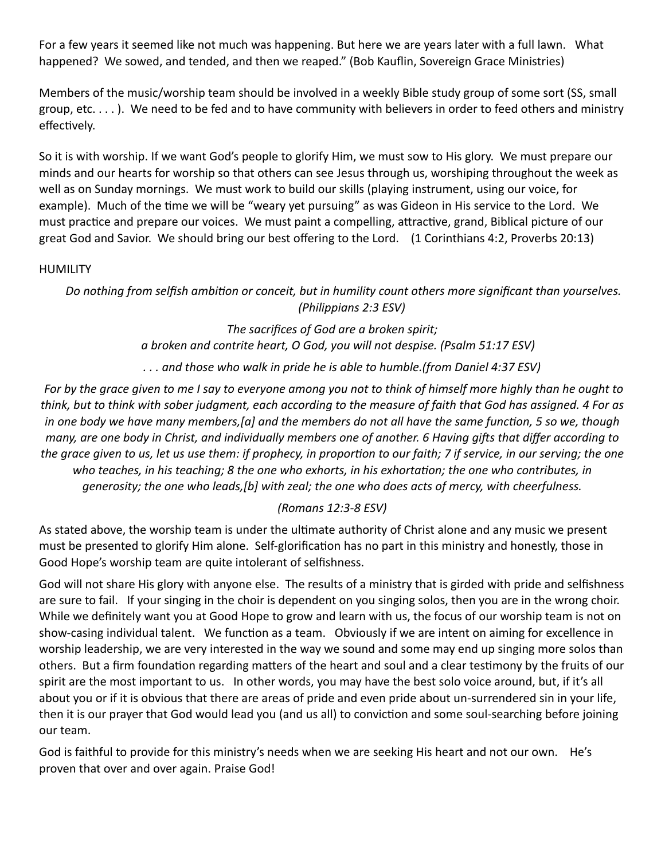For a few years it seemed like not much was happening. But here we are years later with a full lawn. What happened? We sowed, and tended, and then we reaped." (Bob Kauflin, Sovereign Grace Ministries)

Members of the music/worship team should be involved in a weekly Bible study group of some sort (SS, small group, etc. . . . ). We need to be fed and to have community with believers in order to feed others and ministry effectively.

So it is with worship. If we want God's people to glorify Him, we must sow to His glory. We must prepare our minds and our hearts for worship so that others can see Jesus through us, worshiping throughout the week as well as on Sunday mornings. We must work to build our skills (playing instrument, using our voice, for example). Much of the time we will be "weary yet pursuing" as was Gideon in His service to the Lord. We must practice and prepare our voices. We must paint a compelling, attractive, grand, Biblical picture of our great God and Savior. We should bring our best offering to the Lord. (1 Corinthians 4:2, Proverbs 20:13)

#### HUMILITY

*Do nothing from selfish ambition or conceit, but in humility count others more significant than yourselves. (Philippians 2:3 ESV)*

> *The sacrifices of God are a broken spirit; a broken and contrite heart, O God, you will not despise. (Psalm 51:17 ESV)*

> *. . . and those who walk in pride he is able to humble.(from Daniel 4:37 ESV)*

For by the grace given to me I say to everyone among you not to think of himself more highly than he ought to *think, but to think with sober judgment, each according to the measure of faith that God has assigned. 4 For as in one body we have many members,[\[a](https://www.biblegateway.com/passage/?search=Romans+12%3A3-8&version=ESV#fen-ESV-28234a)] and the members do not all have the same function, 5 so we, though many, are one body in Christ, and individually members one of another. 6 Having gifts that differ according to the grace given to us, let us use them: if prophecy, in proportion to our faith; 7 if service, in our serving; the one who teaches, in his teaching; 8 the one who exhorts, in his exhortation; the one who contributes, in generosity; the one who leads,[[b](https://www.biblegateway.com/passage/?search=Romans+12%3A3-8&version=ESV#fen-ESV-28238b)] with zeal; the one who does acts of mercy, with cheerfulness.*

### *(Romans 12:3-8 ESV)*

As stated above, the worship team is under the ultimate authority of Christ alone and any music we present must be presented to glorify Him alone. Self-glorification has no part in this ministry and honestly, those in Good Hope's worship team are quite intolerant of selfishness.

God will not share His glory with anyone else. The results of a ministry that is girded with pride and selfishness are sure to fail. If your singing in the choir is dependent on you singing solos, then you are in the wrong choir. While we definitely want you at Good Hope to grow and learn with us, the focus of our worship team is not on show-casing individual talent. We function as a team. Obviously if we are intent on aiming for excellence in worship leadership, we are very interested in the way we sound and some may end up singing more solos than others. But a firm foundation regarding matters of the heart and soul and a clear testimony by the fruits of our spirit are the most important to us. In other words, you may have the best solo voice around, but, if it's all about you or if it is obvious that there are areas of pride and even pride about un-surrendered sin in your life, then it is our prayer that God would lead you (and us all) to conviction and some soul-searching before joining our team.

God is faithful to provide for this ministry's needs when we are seeking His heart and not our own. He's proven that over and over again. Praise God!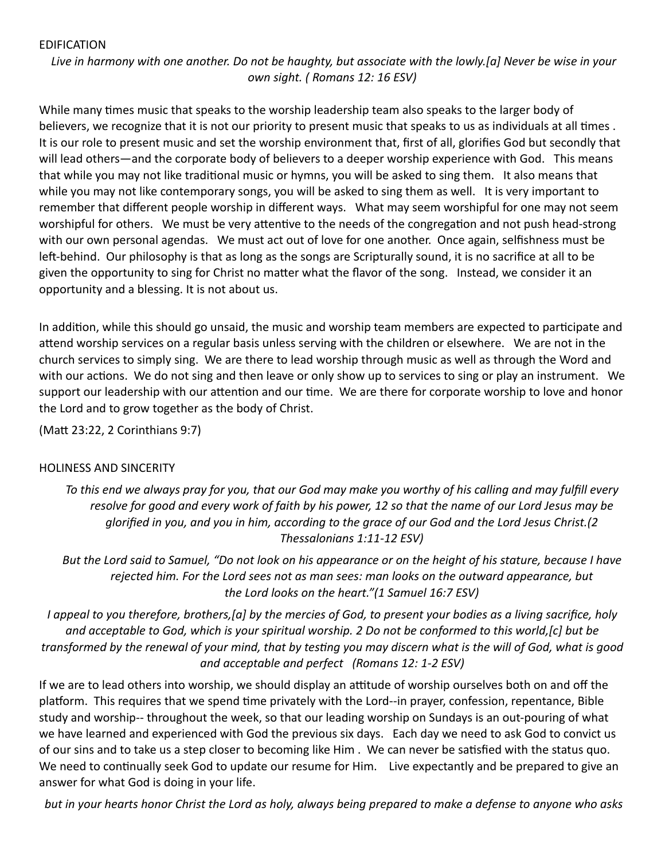#### EDIFICATION

*Live in harmony with one another. Do not be haughty, but associate with the lowly.[\[a](https://www.biblegateway.com/passage/?search=Romans+12%3A16&version=ESV#fen-ESV-28246a)] Never be wise in your own sight. ( Romans 12: 16 ESV)*

While many times music that speaks to the worship leadership team also speaks to the larger body of believers, we recognize that it is not our priority to present music that speaks to us as individuals at all times . It is our role to present music and set the worship environment that, first of all, glorifies God but secondly that will lead others—and the corporate body of believers to a deeper worship experience with God. This means that while you may not like traditional music or hymns, you will be asked to sing them. It also means that while you may not like contemporary songs, you will be asked to sing them as well. It is very important to remember that different people worship in different ways. What may seem worshipful for one may not seem worshipful for others. We must be very attentive to the needs of the congregation and not push head-strong with our own personal agendas. We must act out of love for one another. Once again, selfishness must be left-behind. Our philosophy is that as long as the songs are Scripturally sound, it is no sacrifice at all to be given the opportunity to sing for Christ no matter what the flavor of the song. Instead, we consider it an opportunity and a blessing. It is not about us.

In addition, while this should go unsaid, the music and worship team members are expected to participate and attend worship services on a regular basis unless serving with the children or elsewhere. We are not in the church services to simply sing. We are there to lead worship through music as well as through the Word and with our actions. We do not sing and then leave or only show up to services to sing or play an instrument. We support our leadership with our attention and our time. We are there for corporate worship to love and honor the Lord and to grow together as the body of Christ.

(Matt 23:22, 2 Corinthians 9:7)

### HOLINESS AND SINCERITY

*To this end we always pray for you, that our God may make you worthy of his calling and may fulfill every resolve for good and every work of faith by his power, 12 so that the name of our Lord Jesus may be glorified in you, and you in him, according to the grace of our God and the Lord Jesus Christ.(2 Thessalonians 1:11-12 ESV)*

*But the Lord said to Samuel, "Do not look on his appearance or on the height of his stature, because I have rejected him. For the Lord sees not as man sees: man looks on the outward appearance, but the Lord looks on the heart."(1 Samuel 16:7 ESV)*

*I appeal to you therefore, brothers,[\[a](https://www.biblegateway.com/passage/?search=ROMANS+12%3A1-2&version=ESV#fen-ESV-28231a)] by the mercies of God, to present your bodies as a living sacrifice, holy and acceptable to God, which is your spiritual worship. 2 Do not be conformed to this world,[\[c](https://www.biblegateway.com/passage/?search=ROMANS+12%3A1-2&version=ESV#fen-ESV-28232c)] but be transformed by the renewal of your mind, that by testing you may discern what is the will of God, what is good and acceptable and perfect (Romans 12: 1-2 ESV)*

If we are to lead others into worship, we should display an attitude of worship ourselves both on and off the platform. This requires that we spend time privately with the Lord--in prayer, confession, repentance, Bible study and worship-- throughout the week, so that our leading worship on Sundays is an out-pouring of what we have learned and experienced with God the previous six days. Each day we need to ask God to convict us of our sins and to take us a step closer to becoming like Him . We can never be satisfied with the status quo. We need to continually seek God to update our resume for Him. Live expectantly and be prepared to give an answer for what God is doing in your life.

 *but in your hearts honor Christ the Lord as holy, always being prepared to make a defense to anyone who asks*